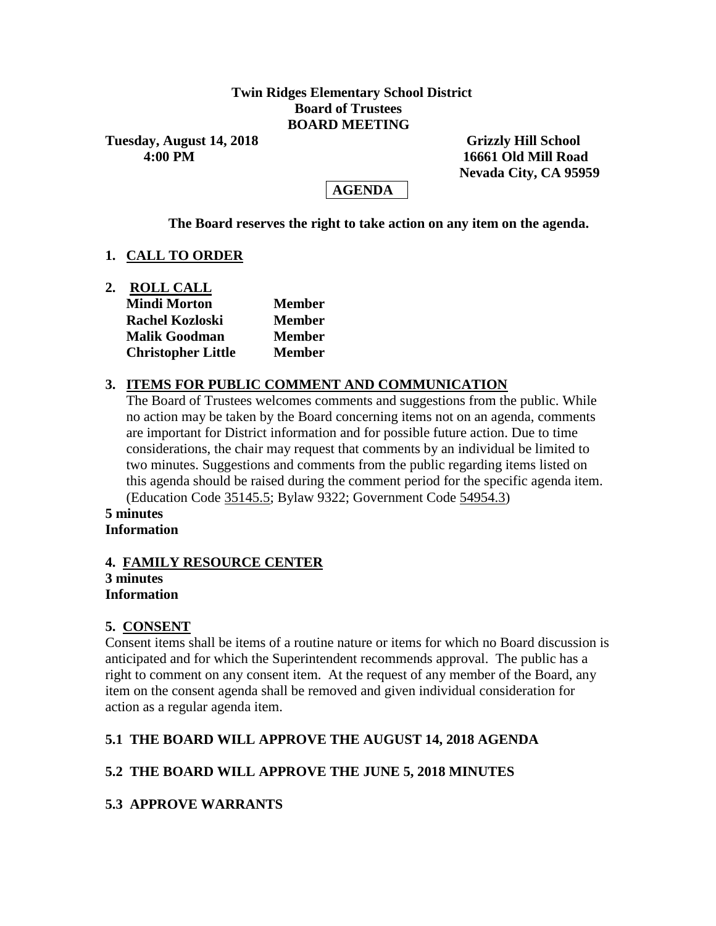## **Twin Ridges Elementary School District Board of Trustees BOARD MEETING**

**Tuesday, August 14, 2018** Grizzly Hill School

 **4:00 PM 16661 Old Mill Road Nevada City, CA 95959**

# **AGENDA**

**The Board reserves the right to take action on any item on the agenda.**

# **1. CALL TO ORDER**

**2. ROLL CALL Mindi Morton Member Rachel Kozloski Member Malik Goodman Member Christopher Little Member**

# **3. ITEMS FOR PUBLIC COMMENT AND COMMUNICATION**

The Board of Trustees welcomes comments and suggestions from the public. While no action may be taken by the Board concerning items not on an agenda, comments are important for District information and for possible future action. Due to time considerations, the chair may request that comments by an individual be limited to two minutes. Suggestions and comments from the public regarding items listed on this agenda should be raised during the comment period for the specific agenda item. (Education Code 35145.5; Bylaw 9322; Government Code 54954.3)

#### **5 minutes Information**

#### **4. FAMILY RESOURCE CENTER 3 minutes Information**

# **5. CONSENT**

Consent items shall be items of a routine nature or items for which no Board discussion is anticipated and for which the Superintendent recommends approval. The public has a right to comment on any consent item. At the request of any member of the Board, any item on the consent agenda shall be removed and given individual consideration for action as a regular agenda item.

# **5.1 THE BOARD WILL APPROVE THE AUGUST 14, 2018 AGENDA**

# **5.2 THE BOARD WILL APPROVE THE JUNE 5, 2018 MINUTES**

# **5.3 APPROVE WARRANTS**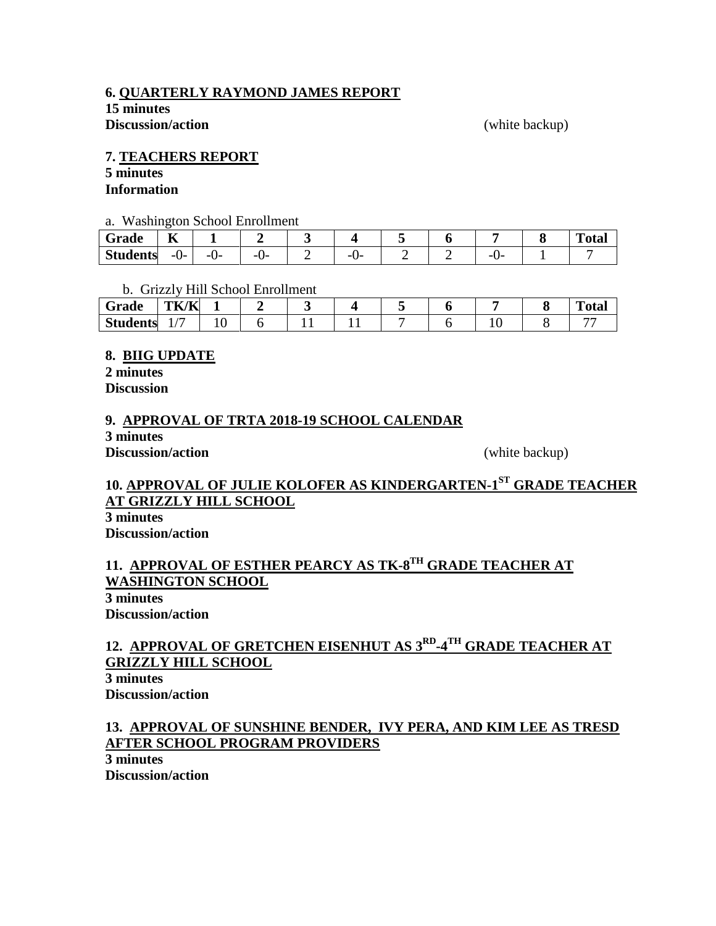## **6. QUARTERLY RAYMOND JAMES REPORT**

**15 minutes Discussion/action** (white backup)

#### **7. TEACHERS REPORT**

#### **5 minutes Information**

#### a. Washington School Enrollment

| $\sim$<br>Grade | --<br>n  |          |          |  |  |  | $\mathbf{r}$<br>`otal |
|-----------------|----------|----------|----------|--|--|--|-----------------------|
| <b>Students</b> | U-<br>-- | ---<br>v | -<br>. . |  |  |  |                       |

b. Grizzly Hill School Enrollment

| Grade           | THE UT<br>1 K/K |  |  |  |  | $\mathbf{r}$<br>''otar |
|-----------------|-----------------|--|--|--|--|------------------------|
| <b>Students</b> | . .             |  |  |  |  |                        |

## **8. BIIG UPDATE**

**2 minutes Discussion**

## **9. APPROVAL OF TRTA 2018-19 SCHOOL CALENDAR**

**3 minutes Discussion/action** (white backup)

# **10. APPROVAL OF JULIE KOLOFER AS KINDERGARTEN-1 ST GRADE TEACHER AT GRIZZLY HILL SCHOOL**

**3 minutes Discussion/action**

# **11. APPROVAL OF ESTHER PEARCY AS TK-8 TH GRADE TEACHER AT WASHINGTON SCHOOL**

**3 minutes Discussion/action**

# **12. APPROVAL OF GRETCHEN EISENHUT AS 3RD -4 TH GRADE TEACHER AT GRIZZLY HILL SCHOOL**

**3 minutes Discussion/action**

# **13. APPROVAL OF SUNSHINE BENDER, IVY PERA, AND KIM LEE AS TRESD AFTER SCHOOL PROGRAM PROVIDERS**

**3 minutes Discussion/action**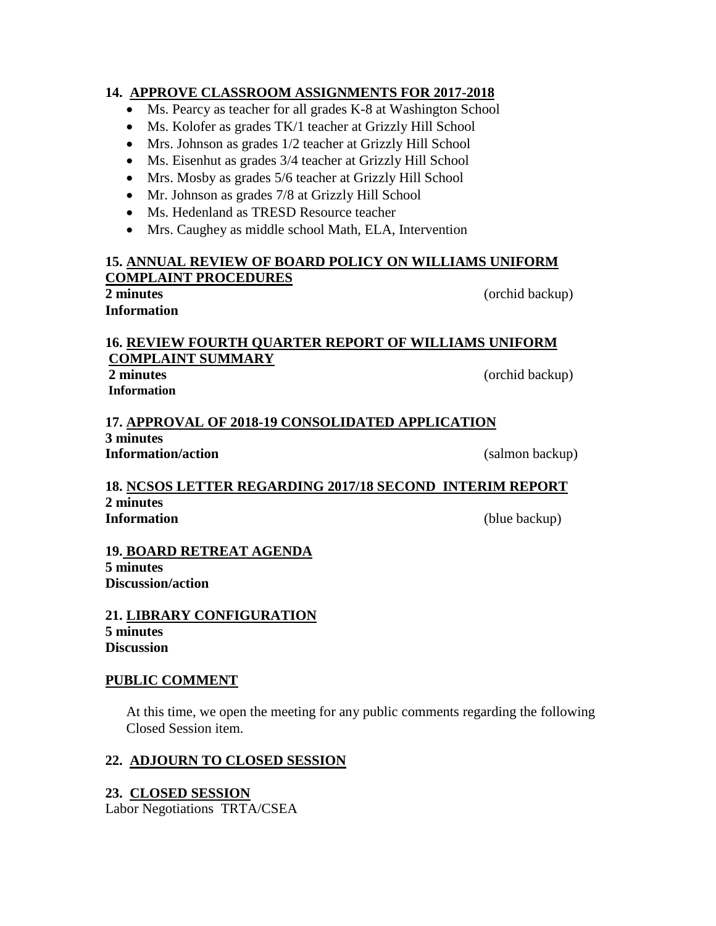## **14. APPROVE CLASSROOM ASSIGNMENTS FOR 2017-2018**

- Ms. Pearcy as teacher for all grades K-8 at Washington School
- Ms. Kolofer as grades TK/1 teacher at Grizzly Hill School
- Mrs. Johnson as grades 1/2 teacher at Grizzly Hill School
- Ms. Eisenhut as grades 3/4 teacher at Grizzly Hill School
- Mrs. Mosby as grades 5/6 teacher at Grizzly Hill School
- Mr. Johnson as grades 7/8 at Grizzly Hill School
- Ms. Hedenland as TRESD Resource teacher
- Mrs. Caughey as middle school Math, ELA, Intervention

# **15. ANNUAL REVIEW OF BOARD POLICY ON WILLIAMS UNIFORM COMPLAINT PROCEDURES**

# **Information**

**2 minutes** (orchid backup)

#### **16. REVIEW FOURTH QUARTER REPORT OF WILLIAMS UNIFORM COMPLAINT SUMMARY 2 minutes** (orchid backup)

**Information**

**17. APPROVAL OF 2018-19 CONSOLIDATED APPLICATION 3 minutes Information/action** (salmon backup)

# **18. NCSOS LETTER REGARDING 2017/18 SECOND INTERIM REPORT 2 minutes Information** (blue backup)

#### **19. BOARD RETREAT AGENDA 5 minutes Discussion/action**

**21. LIBRARY CONFIGURATION 5 minutes Discussion**

# **PUBLIC COMMENT**

At this time, we open the meeting for any public comments regarding the following Closed Session item.

# **22. ADJOURN TO CLOSED SESSION**

# **23. CLOSED SESSION**

Labor Negotiations TRTA/CSEA